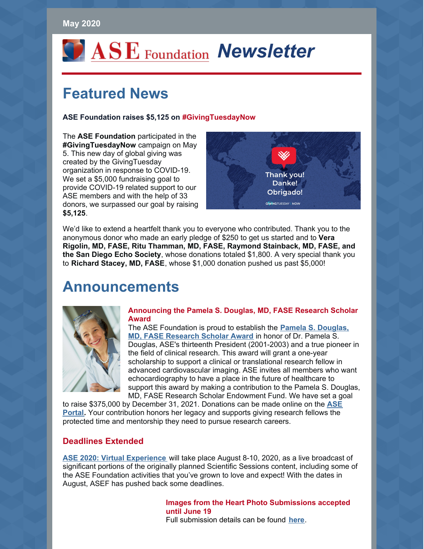## **May 2020**

# *Newsletter* ASE Foundation Newsletter

# **Featured News**

# **ASE Foundation raises \$5,125 on #GivingTuesdayNow**

The **ASE Foundation** participated in the **#GivingTuesdayNow** campaign on May 5. This new day of global giving was created by the GivingTuesday organization in response to COVID-19. We set a \$5,000 fundraising goal to provide COVID-19 related support to our ASE members and with the help of 33 donors, we surpassed our goal by raising **\$5,125**.



We'd like to extend a heartfelt thank you to everyone who contributed. Thank you to the anonymous donor who made an early pledge of \$250 to get us started and to **Vera Rigolin, MD, FASE, Ritu Thamman, MD, FASE, Raymond Stainback, MD, FASE, and the San Diego Echo Society**, whose donations totaled \$1,800. A very special thank you to **Richard Stacey, MD, FASE**, whose \$1,000 donation pushed us past \$5,000!

# **Announcements**



## **Announcing the Pamela S. Douglas, MD, FASE Research Scholar Award**

The ASE [Foundation](https://www.asefoundation.org/pamelasdouglasresearchscholar/) is proud to establish the **Pamela S. Douglas, MD, FASE Research Scholar Award** in honor of Dr. Pamela S. Douglas, ASE's thirteenth President (2001-2003) and a true pioneer in the field of clinical research. This award will grant a one-year scholarship to support a clinical or translational research fellow in advanced cardiovascular imaging. ASE invites all members who want echocardiography to have a place in the future of healthcare to support this award by making a contribution to the Pamela S. Douglas, MD, FASE Research Scholar Endowment Fund. We have set a goal

to raise \$375,000 by [December](https://asecho-prod.force.com/OrderApi__campaign?id=a2W4A000008p3XGUAY&site=a2H4A000002dA1fUAE&sourceCode=a344A000000d1AqQAI) 31, 2021. Donations can be made online on the **ASE Portal.** Your contribution honors her legacy and supports giving research fellows the protected time and mentorship they need to pursue research careers.

# **Deadlines Extended**

**ASE 2020: Virtual [Experience](https://www.asescientificsessions.org/ase-2020-virtual-experience-2/)** will take place August 8-10, 2020, as a live broadcast of significant portions of the originally planned Scientific Sessions content, including some of the ASE Foundation activities that you've grown to love and expect! With the dates in August, ASEF has pushed back some deadlines.

# **Images from the Heart Photo Submissions accepted until June 19**

Full submission details can be found **[here](https://www.asefoundation.org/images-from-the-heart/)**.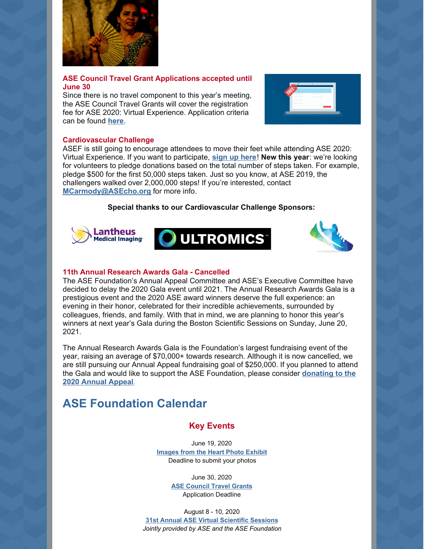

## **ASE Council Travel Grant Applications accepted until June 30**

Since there is no travel component to this year's meeting, the ASE Council Travel Grants will cover the registration fee for ASE 2020: Virtual Experience. Application criteria can be found **[here](https://www.asefoundation.org/council-travel-grants/)**.



## **Cardiovascular Challenge**

ASEF is still going to encourage attendees to move their feet while attending ASE 2020: Virtual Experience. If you want to participate, **sign up [here](https://www.asefoundation.org/cardiovascular-challenge-form/)**! **New this year**: we're looking for volunteers to pledge donations based on the total number of steps taken. For example, pledge \$500 for the first 50,000 steps taken. Just so you know, at ASE 2019, the challengers walked over 2,000,000 steps! If you're interested, contact **[MCarmody@ASEcho.org](mailto:mcarmody@asecho.org)** for more info.

## **Special thanks to our Cardiovascular Challenge Sponsors:**





## **11th Annual Research Awards Gala - Cancelled**

The ASE Foundation's Annual Appeal Committee and ASE's Executive Committee have decided to delay the 2020 Gala event until 2021. The Annual Research Awards Gala is a prestigious event and the 2020 ASE award winners deserve the full experience: an evening in their honor, celebrated for their incredible achievements, surrounded by colleagues, friends, and family. With that in mind, we are planning to honor this year's winners at next year's Gala during the Boston Scientific Sessions on Sunday, June 20, 2021.

The Annual Research Awards Gala is the Foundation's largest fundraising event of the year, raising an average of \$70,000+ towards research. Although it is now cancelled, we are still pursuing our Annual Appeal fundraising goal of \$250,000. If you planned to attend the Gala and would like to support the ASE [Foundation,](https://asecho-prod.force.com/OrderApi__campaign?id=a2W4A000005a6jtUAA&site=a2H4A000002dA1fUAE&sourceCode=a344A000000En0iQAC) please consider **donating to the 2020 Annual Appeal**.

# **ASE Foundation Calendar**

# **Key Events**

June 19, 2020 **[Images](https://www.asefoundation.org/images-from-the-heart/) from the Heart Photo Exhibit** Deadline to submit your photos

June 30, 2020

**ASE [Council](https://www.asefoundation.org/council-travel-grants/) Travel Grants** Application Deadline

August 8 - 10, 2020

**31st Annual ASE Virtual [Scientific](http://www.asescientificsessions.org/) Sessions** *Jointly provided by ASE and the ASE Foundation*